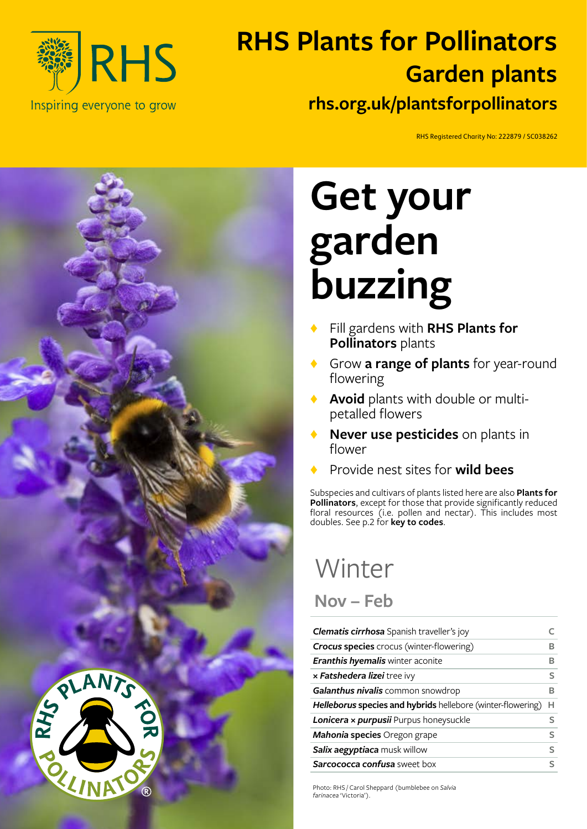

### **RHS Plants for Pollinators rhs.org.uk/plantsforpollinators Garden plants**

RHS Registered Charity No: 222879 / SC038262



# **Get your garden buzzing**

- ♦ Fill gardens with **RHS Plants for Pollinators** plants
- ♦ Grow **a range of plants** for year-round flowering
- Avoid plants with double or multipetalled flowers
- **Never use pesticides** on plants in flower
- ♦ Provide nest sites for **wild bees**

Subspecies and cultivars of plants listed here are also **Plants for Pollinators**, except for those that provide significantly reduced floral resources (i.e. pollen and nectar). This includes most doubles. See p.2 for **key to codes**.

## Winter **Nov – Feb**

| Clematis cirrhosa Spanish traveller's joy                          |   |
|--------------------------------------------------------------------|---|
| <b>Crocus species</b> crocus (winter-flowering)                    | в |
| <b>Eranthis hyemalis winter aconite</b>                            | R |
| x <b>Fatshedera lizei</b> tree ivy                                 | s |
| Galanthus nivalis common snowdrop                                  | R |
| <b>Helleborus species and hybrids</b> hellebore (winter-flowering) | н |
| Lonicera x purpusii Purpus honeysuckle                             | s |
| <b>Mahonia species</b> Oregon grape                                | S |
| Salix aegyptiaca musk willow                                       | S |
| <b>Sarcococca confusa</b> sweet box                                | ς |

Photo: RHS / Carol Sheppard (bumblebee on *Salvia farinacea* 'Victoria').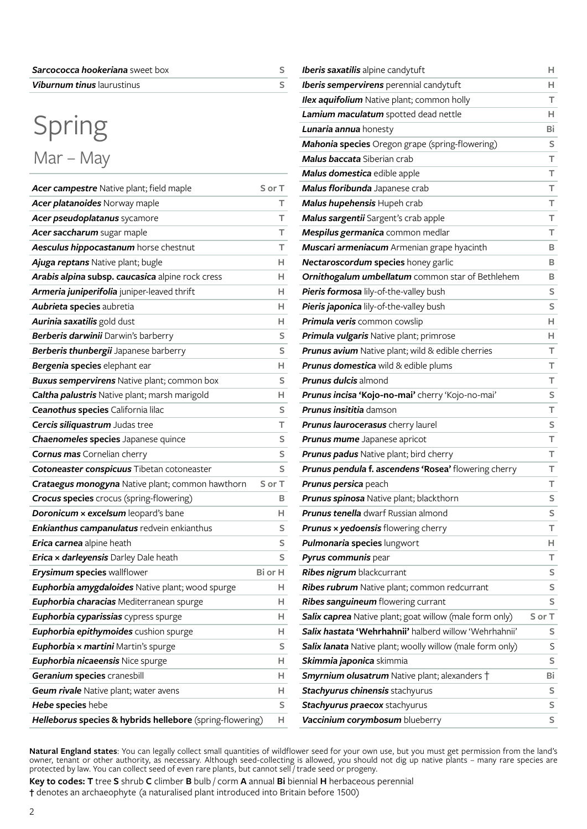| <b>Sarcococca hookeriana</b> sweet box |  |
|----------------------------------------|--|
| <b>Viburnum tinus</b> laurustinus      |  |

### Spring Mar – May

| Acer campestre Native plant; field maple                  | S or T  |
|-----------------------------------------------------------|---------|
| Acer platanoides Norway maple                             | т       |
| Acer pseudoplatanus sycamore                              | T       |
| Acer saccharum sugar maple                                | T       |
| Aesculus hippocastanum horse chestnut                     | т       |
| Ajuga reptans Native plant; bugle                         | н.      |
| Arabis alpina subsp. caucasica alpine rock cress          | н       |
| Armeria juniperifolia juniper-leaved thrift               | н       |
| Aubrieta species aubretia                                 | н       |
| Aurinia saxatilis gold dust                               | H.      |
| Berberis darwinii Darwin's barberry                       | S       |
| Berberis thunbergii Japanese barberry                     | S       |
| Bergenia species elephant ear                             | н.      |
| <b>Buxus sempervirens</b> Native plant; common box        | S       |
| Caltha palustris Native plant; marsh marigold             | H.      |
| Ceanothus species California lilac                        | S       |
| Cercis siliquastrum Judas tree                            | т       |
| Chaenomeles species Japanese quince                       | S       |
| <b>Cornus mas</b> Cornelian cherry                        | S       |
| Cotoneaster conspicuus Tibetan cotoneaster                | S       |
| <b>Crataegus monogyna</b> Native plant; common hawthorn   | S or T  |
| <b>Crocus species</b> crocus (spring-flowering)           | в       |
| Doronicum x excelsum leopard's bane                       | H.      |
| <b>Enkianthus campanulatus</b> redvein enkianthus         | S       |
| <b>Erica carnea</b> alpine heath                          | s       |
| Erica x darleyensis Darley Dale heath                     | S       |
| <b>Erysimum species wallflower</b>                        | Bi or H |
| Euphorbia amygdaloides Native plant; wood spurge          | н       |
| Euphorbia characias Mediterranean spurge                  | н       |
| Euphorbia cyparissias cypress spurge                      | н       |
| Euphorbia epithymoides cushion spurge                     | н.      |
| Euphorbia x martini Martin's spurge                       | S       |
| <b>Euphorbia nicaeensis Nice spurge</b>                   | н.      |
| Geranium species cranesbill                               | H.      |
| Geum rivale Native plant; water avens                     | н.      |
| Hebe species hebe                                         | S       |
| Helleborus species & hybrids hellebore (spring-flowering) | н.      |

| <b>Iberis saxatilis</b> alpine candytuft                  | H.     |
|-----------------------------------------------------------|--------|
| <b>Iberis sempervirens</b> perennial candytuft            | н.     |
| <b>Ilex aquifolium</b> Native plant; common holly         | т      |
| Lamium maculatum spotted dead nettle                      | H.     |
| Lunaria annua honesty                                     | Bi     |
| Mahonia species Oregon grape (spring-flowering)           | s      |
| Malus baccata Siberian crab                               | т      |
| Malus domestica edible apple                              | т      |
| Malus floribunda Japanese crab                            | т      |
| Malus hupehensis Hupeh crab                               | т      |
| Malus sargentii Sargent's crab apple                      | т      |
| Mespilus germanica common medlar                          | т      |
| Muscari armeniacum Armenian grape hyacinth                | в      |
| Nectaroscordum species honey garlic                       | В      |
| Ornithogalum umbellatum common star of Bethlehem          | в      |
| Pieris formosa lily-of-the-valley bush                    | s      |
| Pieris japonica lily-of-the-valley bush                   | s      |
| Primula veris common cowslip                              | н.     |
| Primula vulgaris Native plant; primrose                   | H.     |
| <b>Prunus avium</b> Native plant; wild & edible cherries  | т      |
| <b>Prunus domestica</b> wild & edible plums               | т      |
| <b>Prunus dulcis</b> almond                               | т      |
| Prunus incisa 'Kojo-no-mai' cherry 'Kojo-no-mai'          | S      |
| <b>Prunus insititia</b> damson                            | т      |
| <b>Prunus laurocerasus</b> cherry laurel                  | s      |
| <b>Prunus mume</b> Japanese apricot                       | т      |
| <b>Prunus padus</b> Native plant; bird cherry             | т      |
| Prunus pendula f. ascendens 'Rosea' flowering cherry      | т      |
| Prunus persica peach                                      | т      |
| Prunus spinosa Native plant; blackthorn                   | S      |
| Prunus tenella dwarf Russian almond                       | S      |
| <b>Prunus x yedoensis</b> flowering cherry                | т      |
| <b>Pulmonaria species lungwort</b>                        | н.     |
| Pyrus communis pear                                       | т      |
| Ribes nigrum blackcurrant                                 | s      |
| <b>Ribes rubrum</b> Native plant; common redcurrant       | S      |
| <b>Ribes sanguineum</b> flowering currant                 | S      |
| Salix caprea Native plant; goat willow (male form only)   | S or T |
| Salix hastata 'Wehrhahnii' halberd willow 'Wehrhahnii'    | S.     |
| Salix lanata Native plant; woolly willow (male form only) | S      |
| <b>Skimmia japonica</b> skimmia                           | s      |
| <b>Smyrnium olusatrum</b> Native plant; alexanders †      | Bi     |
| <b>Stachyurus chinensis</b> stachyurus                    | s      |
| Stachyurus praecox stachyurus                             | S      |
| Vaccinium corymbosum blueberry                            | S      |

**Natural England states**: You can legally collect small quantities of wildflower seed for your own use, but you must get permission from the land's owner, tenant or other authority, as necessary. Although seed-collecting is allowed, you should not dig up native plants – many rare species are protected by law. You can collect seed of even rare plants, but cannot sell / trade seed or progeny.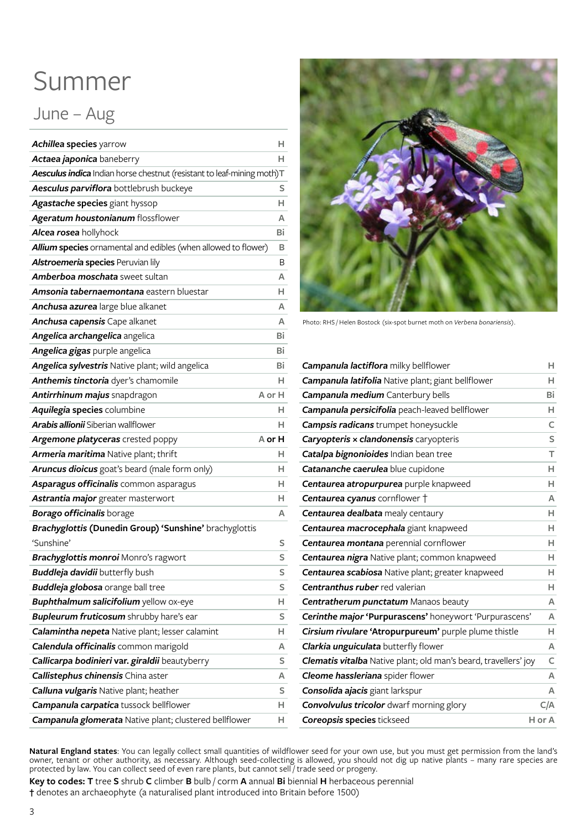#### Summer

#### June – Aug

| <b>Achillea species yarrow</b>                                         | н      |
|------------------------------------------------------------------------|--------|
| Actaea japonica baneberry                                              | н      |
| Aesculus indica Indian horse chestnut (resistant to leaf-mining moth)T |        |
| Aesculus parviflora bottlebrush buckeye                                | S      |
| Agastache species giant hyssop                                         | н      |
| Ageratum houstonianum flossflower                                      | А      |
| Alcea rosea hollyhock                                                  | Bi     |
| Allium species ornamental and edibles (when allowed to flower)         | в      |
| Alstroemeria species Peruvian lily                                     | В      |
| <b>Amberboa moschata</b> sweet sultan                                  | А      |
| <b>Amsonia tabernaemontana</b> eastern bluestar                        | н      |
| Anchusa azurea large blue alkanet                                      | А      |
| Anchusa capensis Cape alkanet                                          | А      |
| Angelica archangelica angelica                                         | Bi     |
| Angelica gigas purple angelica                                         | Bi     |
| Angelica sylvestris Native plant; wild angelica                        | Bi     |
| Anthemis tinctoria dyer's chamomile                                    | н      |
| Antirrhinum majus snapdragon                                           | A or H |
| Aquilegia species columbine                                            | н      |
| <b>Arabis allionii</b> Siberian wallflower                             | н      |
| Argemone platyceras crested poppy                                      | A or H |
| Armeria maritima Native plant; thrift                                  | н      |
| <b>Aruncus dioicus</b> goat's beard (male form only)                   | н      |
| Asparagus officinalis common asparagus                                 | н      |
| Astrantia major greater masterwort                                     | н      |
| <b>Borago officinalis</b> borage                                       | А      |
| Brachyglottis (Dunedin Group) 'Sunshine' brachyglottis                 |        |
| 'Sunshine'                                                             | s      |
| Brachyglottis monroi Monro's ragwort                                   | S      |
| <b>Buddleja davidii</b> butterfly bush                                 | S      |
| <b>Buddleja globosa</b> orange ball tree                               | S      |
| <b>Buphthalmum salicifolium</b> yellow ox-eye                          | н.     |
| <b>Bupleurum fruticosum</b> shrubby hare's ear                         | S      |
| Calamintha nepeta Native plant; lesser calamint                        | н      |
| Calendula officinalis common marigold                                  | A      |
| Callicarpa bodinieri var. giraldii beautyberry                         | S      |
| Callistephus chinensis China aster                                     | А      |
| Calluna vulgaris Native plant; heather                                 | S      |
|                                                                        |        |
| Campanula carpatica tussock bellflower                                 | н      |



Photo: RHS / Helen Bostock (six-spot burnet moth on *Verbena bonariensis*).

| Campanula lactiflora milky bellflower                           | н      |
|-----------------------------------------------------------------|--------|
| Campanula latifolia Native plant; giant bellflower              | н.     |
| Campanula medium Canterbury bells                               | Bi     |
| Campanula persicifolia peach-leaved bellflower                  | Н.     |
| <b>Campsis radicans</b> trumpet honeysuckle                     | C      |
| Caryopteris x clandonensis caryopteris                          | S      |
| Catalpa bignonioides Indian bean tree                           | T.     |
| Catananche caerulea blue cupidone                               | н      |
| Centaurea atropurpurea purple knapweed                          | н.     |
| Centaurea cyanus cornflower +                                   | A      |
| Centaurea dealbata mealy centaury                               | н.     |
| Centaurea macrocephala giant knapweed                           | н      |
| <b>Centaurea montana</b> perennial cornflower                   | н      |
| <b>Centaurea nigra</b> Native plant; common knapweed            | н      |
| Centaurea scabiosa Native plant; greater knapweed               | н      |
| <b>Centranthus ruber</b> red valerian                           | н      |
| Centratherum punctatum Manaos beauty                            | A      |
| Cerinthe major 'Purpurascens' honeywort 'Purpurascens'          | A      |
| Cirsium rivulare 'Atropurpureum' purple plume thistle           | H.     |
| Clarkia unguiculata butterfly flower                            | A      |
| Clematis vitalba Native plant; old man's beard, travellers' joy | C      |
| Cleome hassleriana spider flower                                | A      |
| Consolida ajacis giant larkspur                                 | A      |
| <b>Convolvulus tricolor</b> dwarf morning glory                 | C/A    |
| <b>Coreopsis species tickseed</b>                               | H or A |

**Natural England states**: You can legally collect small quantities of wildflower seed for your own use, but you must get permission from the land's owner, tenant or other authority, as necessary. Although seed-collecting is allowed, you should not dig up native plants – many rare species are protected by law. You can collect seed of even rare plants, but cannot sell / trade seed or progeny.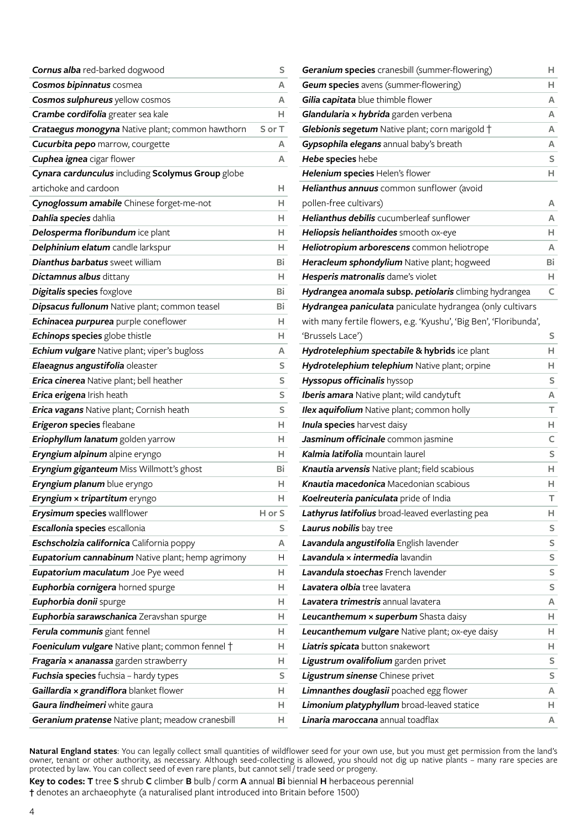| <b>Cornus alba</b> red-barked dogwood                    | S      |
|----------------------------------------------------------|--------|
| Cosmos bipinnatus cosmea                                 | А      |
| Cosmos sulphureus yellow cosmos                          | A      |
| Crambe cordifolia greater sea kale                       | н      |
| <b>Crataegus monogyna</b> Native plant; common hawthorn  | S or T |
| <b>Cucurbita pepo</b> marrow, courgette                  | А      |
| Cuphea ignea cigar flower                                | A      |
| Cynara cardunculus including Scolymus Group globe        |        |
| artichoke and cardoon                                    | н      |
| Cynoglossum amabile Chinese forget-me-not                | н      |
| Dahlia species dahlia                                    | н      |
| Delosperma floribundum ice plant                         | н      |
| Delphinium elatum candle larkspur                        | н      |
| <b>Dianthus barbatus</b> sweet william                   | Bi     |
| Dictamnus albus dittany                                  | н      |
| <b>Digitalis species</b> foxglove                        | Bi     |
| Dipsacus fullonum Native plant; common teasel            | Bi     |
| Echinacea purpurea purple coneflower                     | н      |
| Echinops species globe thistle                           | н      |
| Echium vulgare Native plant; viper's bugloss             | А      |
| Elaeagnus angustifolia oleaster                          | S      |
| Erica cinerea Native plant; bell heather                 | S      |
| Erica erigena Irish heath                                | S      |
| <b>Erica vagans</b> Native plant; Cornish heath          | S      |
| <b>Erigeron species</b> fleabane                         | н      |
| Eriophyllum lanatum golden yarrow                        | н      |
| Eryngium alpinum alpine eryngo                           | н      |
| Eryngium giganteum Miss Willmott's ghost                 | Bi     |
| Eryngium planum blue eryngo                              | н      |
| Eryngium x tripartitum eryngo                            | н      |
| <b>Erysimum species wallflower</b>                       | H or S |
| Escallonia species escallonia                            | s      |
| Eschscholzia californica California poppy                | A      |
| <b>Eupatorium cannabinum</b> Native plant; hemp agrimony | H.     |
| Eupatorium maculatum Joe Pye weed                        | н      |
| <b>Euphorbia cornigera</b> horned spurge                 | н      |
| Euphorbia donii spurge                                   | н      |
| Euphorbia sarawschanica Zeravshan spurge                 | H      |
| Ferula communis giant fennel                             | н      |
| <b>Foeniculum vulgare</b> Native plant; common fennel †  | н      |
| <b>Fragaria × ananassa</b> garden strawberry             | н      |
| <b>Fuchsia species</b> fuchsia - hardy types             | S      |
| <b>Gaillardia × grandiflora</b> blanket flower           | н      |
| Gaura lindheimeri white gaura                            | н      |
| Geranium pratense Native plant; meadow cranesbill        | н      |

| <b>Geum species</b> avens (summer-flowering)<br>H.<br>Gilia capitata blue thimble flower<br>A<br>Glandularia x hybrida garden verbena<br>А<br>Glebionis segetum Native plant; corn marigold +<br>A<br>Gypsophila elegans annual baby's breath<br>A<br>Hebe species hebe<br>S<br>Helenium species Helen's flower<br>Н.<br>Helianthus annuus common sunflower (avoid<br>pollen-free cultivars)<br>A<br><b>Helianthus debilis</b> cucumberleaf sunflower<br>A<br>Heliopsis helianthoides smooth ox-eye<br>H.<br>Heliotropium arborescens common heliotrope<br>A<br>Heracleum sphondylium Native plant; hogweed<br>Bi<br>Hesperis matronalis dame's violet<br>H.<br>Hydrangea anomala subsp. petiolaris climbing hydrangea<br>C<br>Hydrangea paniculata paniculate hydrangea (only cultivars<br>with many fertile flowers, e.g. 'Kyushu', 'Big Ben', 'Floribunda',<br>'Brussels Lace')<br>s<br>Hydrotelephium spectabile & hybrids ice plant<br>H.<br>Hydrotelephium telephium Native plant; orpine<br>н<br>Hyssopus officinalis hyssop<br>s<br>Iberis amara Native plant; wild candytuft<br>A<br>Ilex aquifolium Native plant; common holly<br>т<br>Inula species harvest daisy<br>H.<br>Jasminum officinale common jasmine<br>C.<br><b>Kalmia latifolia</b> mountain laurel<br>S<br>Knautia arvensis Native plant; field scabious<br>H.<br>Knautia macedonica Macedonian scabious<br>H.<br>Koelreuteria paniculata pride of India<br>T.<br>Lathyrus latifolius broad-leaved everlasting pea<br>н<br>Laurus nobilis bay tree<br>S<br>Lavandula angustifolia English lavender<br>S<br>S<br>Lavandula x intermedia lavandin<br><b>Lavandula stoechas</b> French lavender<br>S<br>S<br>Lavatera olbia tree lavatera<br><b>Lavatera trimestris</b> annual lavatera<br>A<br>Leucanthemum x superbum Shasta daisy<br>H.<br>Leucanthemum vulgare Native plant; ox-eye daisy<br>н<br>Liatris spicata button snakewort<br>н<br>Ligustrum ovalifolium garden privet<br>S<br>S<br>Ligustrum sinense Chinese privet<br>Limnanthes douglasii poached egg flower<br>A | Geranium species cranesbill (summer-flowering) | H  |
|------------------------------------------------------------------------------------------------------------------------------------------------------------------------------------------------------------------------------------------------------------------------------------------------------------------------------------------------------------------------------------------------------------------------------------------------------------------------------------------------------------------------------------------------------------------------------------------------------------------------------------------------------------------------------------------------------------------------------------------------------------------------------------------------------------------------------------------------------------------------------------------------------------------------------------------------------------------------------------------------------------------------------------------------------------------------------------------------------------------------------------------------------------------------------------------------------------------------------------------------------------------------------------------------------------------------------------------------------------------------------------------------------------------------------------------------------------------------------------------------------------------------------------------------------------------------------------------------------------------------------------------------------------------------------------------------------------------------------------------------------------------------------------------------------------------------------------------------------------------------------------------------------------------------------------------------------------------------------------------------------------------------------------------------------|------------------------------------------------|----|
|                                                                                                                                                                                                                                                                                                                                                                                                                                                                                                                                                                                                                                                                                                                                                                                                                                                                                                                                                                                                                                                                                                                                                                                                                                                                                                                                                                                                                                                                                                                                                                                                                                                                                                                                                                                                                                                                                                                                                                                                                                                      |                                                |    |
|                                                                                                                                                                                                                                                                                                                                                                                                                                                                                                                                                                                                                                                                                                                                                                                                                                                                                                                                                                                                                                                                                                                                                                                                                                                                                                                                                                                                                                                                                                                                                                                                                                                                                                                                                                                                                                                                                                                                                                                                                                                      |                                                |    |
|                                                                                                                                                                                                                                                                                                                                                                                                                                                                                                                                                                                                                                                                                                                                                                                                                                                                                                                                                                                                                                                                                                                                                                                                                                                                                                                                                                                                                                                                                                                                                                                                                                                                                                                                                                                                                                                                                                                                                                                                                                                      |                                                |    |
|                                                                                                                                                                                                                                                                                                                                                                                                                                                                                                                                                                                                                                                                                                                                                                                                                                                                                                                                                                                                                                                                                                                                                                                                                                                                                                                                                                                                                                                                                                                                                                                                                                                                                                                                                                                                                                                                                                                                                                                                                                                      |                                                |    |
|                                                                                                                                                                                                                                                                                                                                                                                                                                                                                                                                                                                                                                                                                                                                                                                                                                                                                                                                                                                                                                                                                                                                                                                                                                                                                                                                                                                                                                                                                                                                                                                                                                                                                                                                                                                                                                                                                                                                                                                                                                                      |                                                |    |
|                                                                                                                                                                                                                                                                                                                                                                                                                                                                                                                                                                                                                                                                                                                                                                                                                                                                                                                                                                                                                                                                                                                                                                                                                                                                                                                                                                                                                                                                                                                                                                                                                                                                                                                                                                                                                                                                                                                                                                                                                                                      |                                                |    |
|                                                                                                                                                                                                                                                                                                                                                                                                                                                                                                                                                                                                                                                                                                                                                                                                                                                                                                                                                                                                                                                                                                                                                                                                                                                                                                                                                                                                                                                                                                                                                                                                                                                                                                                                                                                                                                                                                                                                                                                                                                                      |                                                |    |
|                                                                                                                                                                                                                                                                                                                                                                                                                                                                                                                                                                                                                                                                                                                                                                                                                                                                                                                                                                                                                                                                                                                                                                                                                                                                                                                                                                                                                                                                                                                                                                                                                                                                                                                                                                                                                                                                                                                                                                                                                                                      |                                                |    |
|                                                                                                                                                                                                                                                                                                                                                                                                                                                                                                                                                                                                                                                                                                                                                                                                                                                                                                                                                                                                                                                                                                                                                                                                                                                                                                                                                                                                                                                                                                                                                                                                                                                                                                                                                                                                                                                                                                                                                                                                                                                      |                                                |    |
|                                                                                                                                                                                                                                                                                                                                                                                                                                                                                                                                                                                                                                                                                                                                                                                                                                                                                                                                                                                                                                                                                                                                                                                                                                                                                                                                                                                                                                                                                                                                                                                                                                                                                                                                                                                                                                                                                                                                                                                                                                                      |                                                |    |
|                                                                                                                                                                                                                                                                                                                                                                                                                                                                                                                                                                                                                                                                                                                                                                                                                                                                                                                                                                                                                                                                                                                                                                                                                                                                                                                                                                                                                                                                                                                                                                                                                                                                                                                                                                                                                                                                                                                                                                                                                                                      |                                                |    |
|                                                                                                                                                                                                                                                                                                                                                                                                                                                                                                                                                                                                                                                                                                                                                                                                                                                                                                                                                                                                                                                                                                                                                                                                                                                                                                                                                                                                                                                                                                                                                                                                                                                                                                                                                                                                                                                                                                                                                                                                                                                      |                                                |    |
|                                                                                                                                                                                                                                                                                                                                                                                                                                                                                                                                                                                                                                                                                                                                                                                                                                                                                                                                                                                                                                                                                                                                                                                                                                                                                                                                                                                                                                                                                                                                                                                                                                                                                                                                                                                                                                                                                                                                                                                                                                                      |                                                |    |
|                                                                                                                                                                                                                                                                                                                                                                                                                                                                                                                                                                                                                                                                                                                                                                                                                                                                                                                                                                                                                                                                                                                                                                                                                                                                                                                                                                                                                                                                                                                                                                                                                                                                                                                                                                                                                                                                                                                                                                                                                                                      |                                                |    |
|                                                                                                                                                                                                                                                                                                                                                                                                                                                                                                                                                                                                                                                                                                                                                                                                                                                                                                                                                                                                                                                                                                                                                                                                                                                                                                                                                                                                                                                                                                                                                                                                                                                                                                                                                                                                                                                                                                                                                                                                                                                      |                                                |    |
|                                                                                                                                                                                                                                                                                                                                                                                                                                                                                                                                                                                                                                                                                                                                                                                                                                                                                                                                                                                                                                                                                                                                                                                                                                                                                                                                                                                                                                                                                                                                                                                                                                                                                                                                                                                                                                                                                                                                                                                                                                                      |                                                |    |
|                                                                                                                                                                                                                                                                                                                                                                                                                                                                                                                                                                                                                                                                                                                                                                                                                                                                                                                                                                                                                                                                                                                                                                                                                                                                                                                                                                                                                                                                                                                                                                                                                                                                                                                                                                                                                                                                                                                                                                                                                                                      |                                                |    |
|                                                                                                                                                                                                                                                                                                                                                                                                                                                                                                                                                                                                                                                                                                                                                                                                                                                                                                                                                                                                                                                                                                                                                                                                                                                                                                                                                                                                                                                                                                                                                                                                                                                                                                                                                                                                                                                                                                                                                                                                                                                      |                                                |    |
|                                                                                                                                                                                                                                                                                                                                                                                                                                                                                                                                                                                                                                                                                                                                                                                                                                                                                                                                                                                                                                                                                                                                                                                                                                                                                                                                                                                                                                                                                                                                                                                                                                                                                                                                                                                                                                                                                                                                                                                                                                                      |                                                |    |
|                                                                                                                                                                                                                                                                                                                                                                                                                                                                                                                                                                                                                                                                                                                                                                                                                                                                                                                                                                                                                                                                                                                                                                                                                                                                                                                                                                                                                                                                                                                                                                                                                                                                                                                                                                                                                                                                                                                                                                                                                                                      |                                                |    |
|                                                                                                                                                                                                                                                                                                                                                                                                                                                                                                                                                                                                                                                                                                                                                                                                                                                                                                                                                                                                                                                                                                                                                                                                                                                                                                                                                                                                                                                                                                                                                                                                                                                                                                                                                                                                                                                                                                                                                                                                                                                      |                                                |    |
|                                                                                                                                                                                                                                                                                                                                                                                                                                                                                                                                                                                                                                                                                                                                                                                                                                                                                                                                                                                                                                                                                                                                                                                                                                                                                                                                                                                                                                                                                                                                                                                                                                                                                                                                                                                                                                                                                                                                                                                                                                                      |                                                |    |
|                                                                                                                                                                                                                                                                                                                                                                                                                                                                                                                                                                                                                                                                                                                                                                                                                                                                                                                                                                                                                                                                                                                                                                                                                                                                                                                                                                                                                                                                                                                                                                                                                                                                                                                                                                                                                                                                                                                                                                                                                                                      |                                                |    |
|                                                                                                                                                                                                                                                                                                                                                                                                                                                                                                                                                                                                                                                                                                                                                                                                                                                                                                                                                                                                                                                                                                                                                                                                                                                                                                                                                                                                                                                                                                                                                                                                                                                                                                                                                                                                                                                                                                                                                                                                                                                      |                                                |    |
|                                                                                                                                                                                                                                                                                                                                                                                                                                                                                                                                                                                                                                                                                                                                                                                                                                                                                                                                                                                                                                                                                                                                                                                                                                                                                                                                                                                                                                                                                                                                                                                                                                                                                                                                                                                                                                                                                                                                                                                                                                                      |                                                |    |
|                                                                                                                                                                                                                                                                                                                                                                                                                                                                                                                                                                                                                                                                                                                                                                                                                                                                                                                                                                                                                                                                                                                                                                                                                                                                                                                                                                                                                                                                                                                                                                                                                                                                                                                                                                                                                                                                                                                                                                                                                                                      |                                                |    |
|                                                                                                                                                                                                                                                                                                                                                                                                                                                                                                                                                                                                                                                                                                                                                                                                                                                                                                                                                                                                                                                                                                                                                                                                                                                                                                                                                                                                                                                                                                                                                                                                                                                                                                                                                                                                                                                                                                                                                                                                                                                      |                                                |    |
|                                                                                                                                                                                                                                                                                                                                                                                                                                                                                                                                                                                                                                                                                                                                                                                                                                                                                                                                                                                                                                                                                                                                                                                                                                                                                                                                                                                                                                                                                                                                                                                                                                                                                                                                                                                                                                                                                                                                                                                                                                                      |                                                |    |
|                                                                                                                                                                                                                                                                                                                                                                                                                                                                                                                                                                                                                                                                                                                                                                                                                                                                                                                                                                                                                                                                                                                                                                                                                                                                                                                                                                                                                                                                                                                                                                                                                                                                                                                                                                                                                                                                                                                                                                                                                                                      |                                                |    |
|                                                                                                                                                                                                                                                                                                                                                                                                                                                                                                                                                                                                                                                                                                                                                                                                                                                                                                                                                                                                                                                                                                                                                                                                                                                                                                                                                                                                                                                                                                                                                                                                                                                                                                                                                                                                                                                                                                                                                                                                                                                      |                                                |    |
|                                                                                                                                                                                                                                                                                                                                                                                                                                                                                                                                                                                                                                                                                                                                                                                                                                                                                                                                                                                                                                                                                                                                                                                                                                                                                                                                                                                                                                                                                                                                                                                                                                                                                                                                                                                                                                                                                                                                                                                                                                                      |                                                |    |
|                                                                                                                                                                                                                                                                                                                                                                                                                                                                                                                                                                                                                                                                                                                                                                                                                                                                                                                                                                                                                                                                                                                                                                                                                                                                                                                                                                                                                                                                                                                                                                                                                                                                                                                                                                                                                                                                                                                                                                                                                                                      |                                                |    |
|                                                                                                                                                                                                                                                                                                                                                                                                                                                                                                                                                                                                                                                                                                                                                                                                                                                                                                                                                                                                                                                                                                                                                                                                                                                                                                                                                                                                                                                                                                                                                                                                                                                                                                                                                                                                                                                                                                                                                                                                                                                      |                                                |    |
|                                                                                                                                                                                                                                                                                                                                                                                                                                                                                                                                                                                                                                                                                                                                                                                                                                                                                                                                                                                                                                                                                                                                                                                                                                                                                                                                                                                                                                                                                                                                                                                                                                                                                                                                                                                                                                                                                                                                                                                                                                                      |                                                |    |
|                                                                                                                                                                                                                                                                                                                                                                                                                                                                                                                                                                                                                                                                                                                                                                                                                                                                                                                                                                                                                                                                                                                                                                                                                                                                                                                                                                                                                                                                                                                                                                                                                                                                                                                                                                                                                                                                                                                                                                                                                                                      |                                                |    |
|                                                                                                                                                                                                                                                                                                                                                                                                                                                                                                                                                                                                                                                                                                                                                                                                                                                                                                                                                                                                                                                                                                                                                                                                                                                                                                                                                                                                                                                                                                                                                                                                                                                                                                                                                                                                                                                                                                                                                                                                                                                      |                                                |    |
|                                                                                                                                                                                                                                                                                                                                                                                                                                                                                                                                                                                                                                                                                                                                                                                                                                                                                                                                                                                                                                                                                                                                                                                                                                                                                                                                                                                                                                                                                                                                                                                                                                                                                                                                                                                                                                                                                                                                                                                                                                                      |                                                |    |
|                                                                                                                                                                                                                                                                                                                                                                                                                                                                                                                                                                                                                                                                                                                                                                                                                                                                                                                                                                                                                                                                                                                                                                                                                                                                                                                                                                                                                                                                                                                                                                                                                                                                                                                                                                                                                                                                                                                                                                                                                                                      |                                                |    |
|                                                                                                                                                                                                                                                                                                                                                                                                                                                                                                                                                                                                                                                                                                                                                                                                                                                                                                                                                                                                                                                                                                                                                                                                                                                                                                                                                                                                                                                                                                                                                                                                                                                                                                                                                                                                                                                                                                                                                                                                                                                      |                                                |    |
|                                                                                                                                                                                                                                                                                                                                                                                                                                                                                                                                                                                                                                                                                                                                                                                                                                                                                                                                                                                                                                                                                                                                                                                                                                                                                                                                                                                                                                                                                                                                                                                                                                                                                                                                                                                                                                                                                                                                                                                                                                                      |                                                |    |
|                                                                                                                                                                                                                                                                                                                                                                                                                                                                                                                                                                                                                                                                                                                                                                                                                                                                                                                                                                                                                                                                                                                                                                                                                                                                                                                                                                                                                                                                                                                                                                                                                                                                                                                                                                                                                                                                                                                                                                                                                                                      |                                                |    |
|                                                                                                                                                                                                                                                                                                                                                                                                                                                                                                                                                                                                                                                                                                                                                                                                                                                                                                                                                                                                                                                                                                                                                                                                                                                                                                                                                                                                                                                                                                                                                                                                                                                                                                                                                                                                                                                                                                                                                                                                                                                      |                                                |    |
|                                                                                                                                                                                                                                                                                                                                                                                                                                                                                                                                                                                                                                                                                                                                                                                                                                                                                                                                                                                                                                                                                                                                                                                                                                                                                                                                                                                                                                                                                                                                                                                                                                                                                                                                                                                                                                                                                                                                                                                                                                                      | Limonium platyphyllum broad-leaved statice     | H. |
| <b>Linaria maroccana</b> annual toadflax<br>A                                                                                                                                                                                                                                                                                                                                                                                                                                                                                                                                                                                                                                                                                                                                                                                                                                                                                                                                                                                                                                                                                                                                                                                                                                                                                                                                                                                                                                                                                                                                                                                                                                                                                                                                                                                                                                                                                                                                                                                                        |                                                |    |

**Natural England states**: You can legally collect small quantities of wildflower seed for your own use, but you must get permission from the land's owner, tenant or other authority, as necessary. Although seed-collecting is allowed, you should not dig up native plants – many rare species are protected by law. You can collect seed of even rare plants, but cannot sell / trade seed or progeny.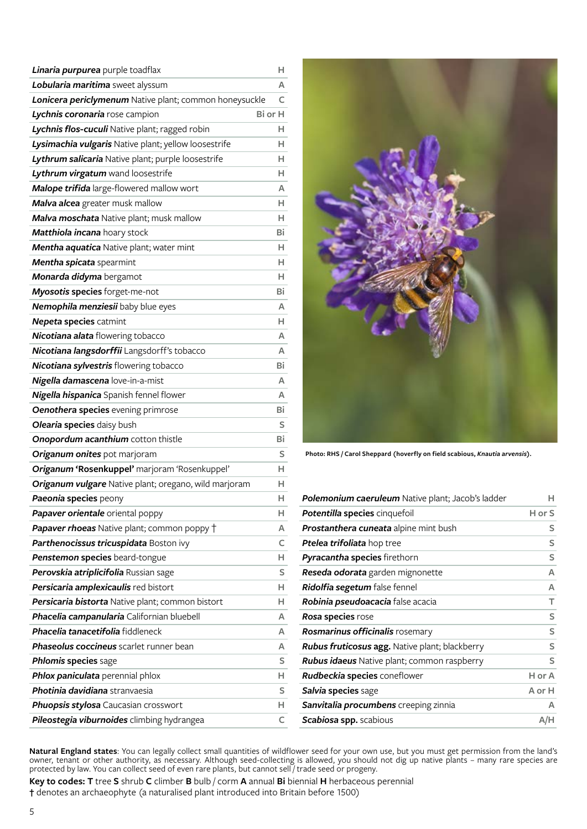| Linaria purpurea purple toadflax                           | н       |
|------------------------------------------------------------|---------|
| Lobularia maritima sweet alyssum                           | A       |
| Lonicera periclymenum Native plant; common honeysuckle     | C       |
| Lychnis coronaria rose campion                             | Bi or H |
| Lychnis flos-cuculi Native plant; ragged robin             | н.      |
| Lysimachia vulgaris Native plant; yellow loosestrife       | H.      |
| Lythrum salicaria Native plant; purple loosestrife         | н       |
| Lythrum virgatum wand loosestrife                          | H.      |
| Malope trifida large-flowered mallow wort                  | А       |
| Malva alcea greater musk mallow                            | H.      |
| Malva moschata Native plant; musk mallow                   | н       |
| Matthiola incana hoary stock                               | Bi      |
| Mentha aquatica Native plant; water mint                   | H.      |
| Mentha spicata spearmint                                   | H.      |
| Monarda didyma bergamot                                    | н       |
| Myosotis species forget-me-not                             | Bi      |
| Nemophila menziesii baby blue eyes                         | А       |
| <b>Nepeta species catmint</b>                              | H       |
| Nicotiana alata flowering tobacco                          | А       |
| Nicotiana langsdorffii Langsdorff's tobacco                | A       |
| Nicotiana sylvestris flowering tobacco                     | Bi      |
| Nigella damascena love-in-a-mist                           | A       |
| Nigella hispanica Spanish fennel flower                    | А       |
| <b>Oenothera species</b> evening primrose                  | Bi      |
| Olearia species daisy bush                                 | S       |
| Onopordum acanthium cotton thistle                         | Bi      |
| Origanum onites pot marjoram                               | S       |
| Origanum 'Rosenkuppel' marjoram 'Rosenkuppel'              | н.      |
| Origanum vulgare Native plant; oregano, wild marjoram      | H.      |
| Paeonia species peony                                      | н       |
| Papaver orientale oriental poppy                           | Н.      |
| <b>Papaver rhoeas</b> Native plant; common poppy $\dagger$ | A       |
| Parthenocissus tricuspidata Boston ivy                     | C       |
| Penstemon species beard-tongue                             | H.      |
| Perovskia atriplicifolia Russian sage                      | S       |
| Persicaria amplexicaulis red bistort                       | н.      |
| Persicaria bistorta Native plant; common bistort           | H       |
| Phacelia campanularia Californian bluebell                 | A       |
| Phacelia tanacetifolia fiddleneck                          | A       |
| <b>Phaseolus coccineus</b> scarlet runner bean             | A       |
| Phlomis species sage                                       | S       |
| Phlox paniculata perennial phlox                           | н.      |
| <b>Photinia davidiana</b> stranvaesia                      | S       |
| <b>Phuopsis stylosa</b> Caucasian crosswort                | н.      |
| Pileostegia viburnoides climbing hydrangea                 | c       |



**Photo: RHS / Carol Sheppard (hoverfly on field scabious,** *Knautia arvensis***).** 

| Polemonium caeruleum Native plant; Jacob's ladder     | н      |
|-------------------------------------------------------|--------|
| Potentilla species cinquefoil                         | H or S |
| <b>Prostanthera cuneata</b> alpine mint bush          | S      |
| <b>Ptelea trifoliata</b> hop tree                     | S      |
| Pyracantha species firethorn                          | S      |
| <b>Reseda odorata</b> garden mignonette               | A      |
| Ridolfia segetum false fennel                         | A      |
| <b>Robinia pseudoacacia</b> false acacia              | т      |
| <b>Rosa species</b> rose                              | S      |
| <b>Rosmarinus officinalis</b> rosemary                | S      |
| <b>Rubus fruticosus agg.</b> Native plant; blackberry | S      |
| <b>Rubus idaeus</b> Native plant; common raspberry    | S      |
| <b>Rudbeckia species</b> coneflower                   | H or A |
| Salvia species sage                                   | A or H |
| Sanvitalia procumbens creeping zinnia                 | A      |
| <b>Scabiosa spp.</b> scabious                         | A/H    |

**Natural England states**: You can legally collect small quantities of wildflower seed for your own use, but you must get permission from the land's owner, tenant or other authority, as necessary. Although seed-collecting is allowed, you should not dig up native plants – many rare species are protected by law. You can collect seed of even rare plants, but cannot sell / trade seed or progeny.